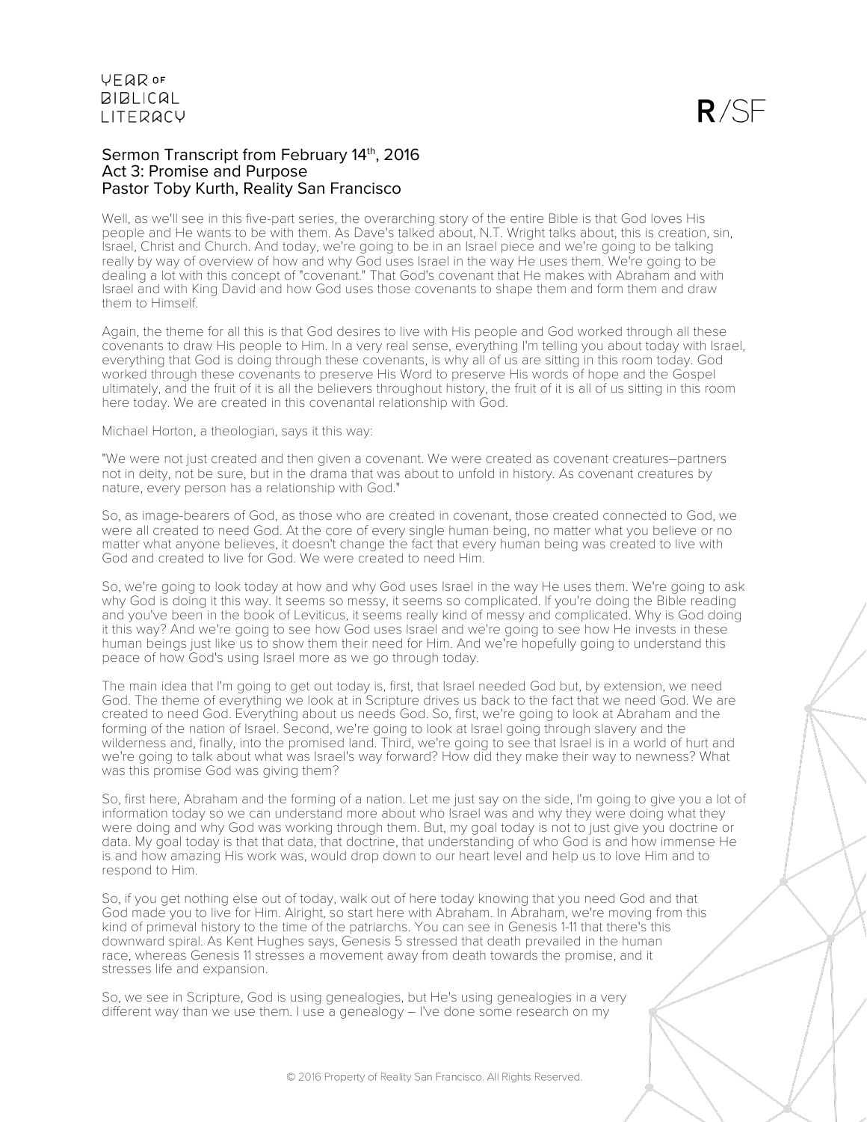#### Sermon Transcript from February 14th, 2016 Act 3: Promise and Purpose Pastor Toby Kurth, Reality San Francisco

Well, as we'll see in this five-part series, the overarching story of the entire Bible is that God loves His people and He wants to be with them. As Dave's talked about, N.T. Wright talks about, this is creation, sin, Israel, Christ and Church. And today, we're going to be in an Israel piece and we're going to be talking really by way of overview of how and why God uses Israel in the way He uses them. We're going to be dealing a lot with this concept of "covenant." That God's covenant that He makes with Abraham and with Israel and with King David and how God uses those covenants to shape them and form them and draw them to Himself.

Again, the theme for all this is that God desires to live with His people and God worked through all these covenants to draw His people to Him. In a very real sense, everything I'm telling you about today with Israel, everything that God is doing through these covenants, is why all of us are sitting in this room today. God worked through these covenants to preserve His Word to preserve His words of hope and the Gospel ultimately, and the fruit of it is all the believers throughout history, the fruit of it is all of us sitting in this room here today. We are created in this covenantal relationship with God.

Michael Horton, a theologian, says it this way:

"We were not just created and then given a covenant. We were created as covenant creatures–partners not in deity, not be sure, but in the drama that was about to unfold in history. As covenant creatures by nature, every person has a relationship with God."

So, as image-bearers of God, as those who are created in covenant, those created connected to God, we were all created to need God. At the core of every single human being, no matter what you believe or no matter what anyone believes, it doesn't change the fact that every human being was created to live with God and created to live for God. We were created to need Him.

So, we're going to look today at how and why God uses Israel in the way He uses them. We're going to ask why God is doing it this way. It seems so messy, it seems so complicated. If you're doing the Bible reading and you've been in the book of Leviticus, it seems really kind of messy and complicated. Why is God doing it this way? And we're going to see how God uses Israel and we're going to see how He invests in these human beings just like us to show them their need for Him. And we're hopefully going to understand this peace of how God's using Israel more as we go through today.

The main idea that I'm going to get out today is, first, that Israel needed God but, by extension, we need God. The theme of everything we look at in Scripture drives us back to the fact that we need God. We are created to need God. Everything about us needs God. So, first, we're going to look at Abraham and the forming of the nation of Israel. Second, we're going to look at Israel going through slavery and the wilderness and, finally, into the promised land. Third, we're going to see that Israel is in a world of hurt and we're going to talk about what was Israel's way forward? How did they make their way to newness? What was this promise God was giving them?

So, first here, Abraham and the forming of a nation. Let me just say on the side, I'm going to give you a lot of information today so we can understand more about who Israel was and why they were doing what they were doing and why God was working through them. But, my goal today is not to just give you doctrine or data. My goal today is that that data, that doctrine, that understanding of who God is and how immense He is and how amazing His work was, would drop down to our heart level and help us to love Him and to respond to Him.

So, if you get nothing else out of today, walk out of here today knowing that you need God and that God made you to live for Him. Alright, so start here with Abraham. In Abraham, we're moving from this kind of primeval history to the time of the patriarchs. You can see in Genesis 1-11 that there's this downward spiral. As Kent Hughes says, Genesis 5 stressed that death prevailed in the human race, whereas Genesis 11 stresses a movement away from death towards the promise, and it stresses life and expansion.

So, we see in Scripture, God is using genealogies, but He's using genealogies in a very different way than we use them. I use a genealogy – I've done some research on my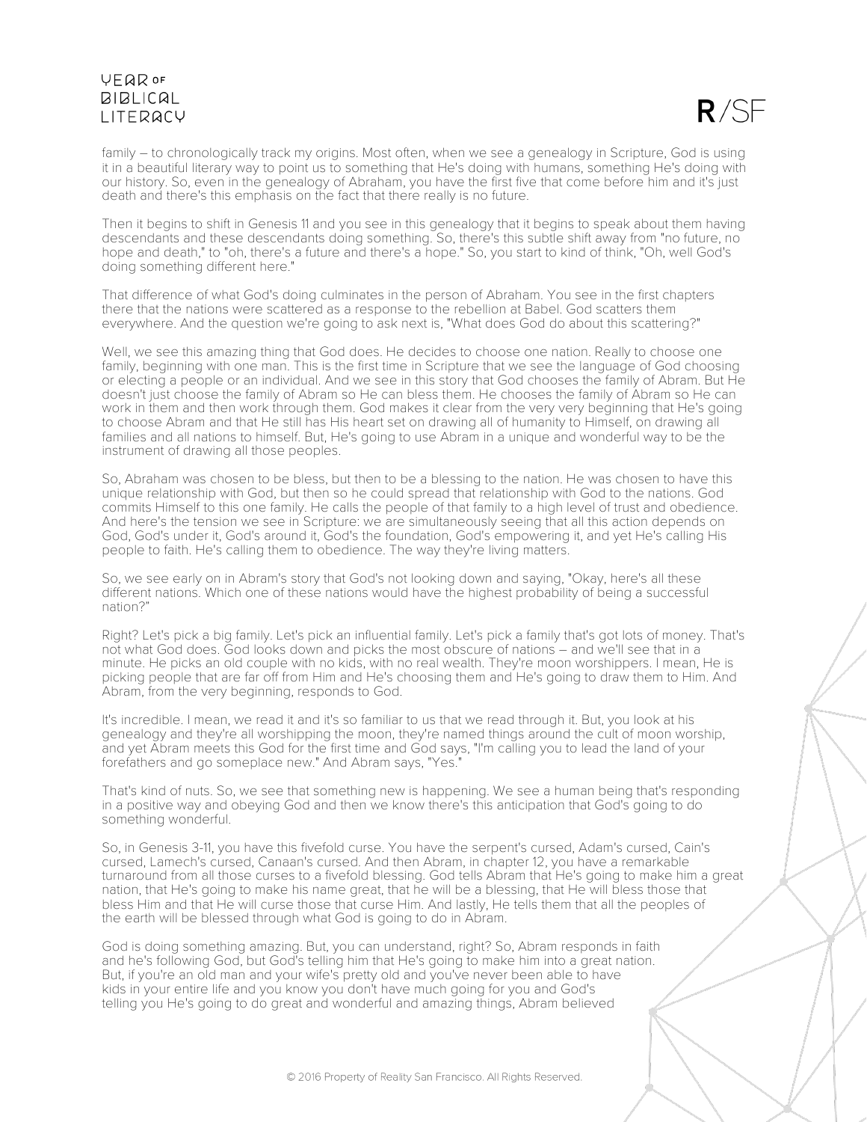$R/SF$ 

family – to chronologically track my origins. Most often, when we see a genealogy in Scripture, God is using it in a beautiful literary way to point us to something that He's doing with humans, something He's doing with our history. So, even in the genealogy of Abraham, you have the first five that come before him and it's just death and there's this emphasis on the fact that there really is no future.

Then it begins to shift in Genesis 11 and you see in this genealogy that it begins to speak about them having descendants and these descendants doing something. So, there's this subtle shift away from "no future, no hope and death," to "oh, there's a future and there's a hope." So, you start to kind of think, "Oh, well God's doing something different here."

That difference of what God's doing culminates in the person of Abraham. You see in the first chapters there that the nations were scattered as a response to the rebellion at Babel. God scatters them everywhere. And the question we're going to ask next is, "What does God do about this scattering?"

Well, we see this amazing thing that God does. He decides to choose one nation. Really to choose one family, beginning with one man. This is the first time in Scripture that we see the language of God choosing or electing a people or an individual. And we see in this story that God chooses the family of Abram. But He doesn't just choose the family of Abram so He can bless them. He chooses the family of Abram so He can work in them and then work through them. God makes it clear from the very very beginning that He's going to choose Abram and that He still has His heart set on drawing all of humanity to Himself, on drawing all families and all nations to himself. But, He's going to use Abram in a unique and wonderful way to be the instrument of drawing all those peoples.

So, Abraham was chosen to be bless, but then to be a blessing to the nation. He was chosen to have this unique relationship with God, but then so he could spread that relationship with God to the nations. God commits Himself to this one family. He calls the people of that family to a high level of trust and obedience. And here's the tension we see in Scripture: we are simultaneously seeing that all this action depends on God, God's under it, God's around it, God's the foundation, God's empowering it, and yet He's calling His people to faith. He's calling them to obedience. The way they're living matters.

So, we see early on in Abram's story that God's not looking down and saying, "Okay, here's all these different nations. Which one of these nations would have the highest probability of being a successful nation?"

Right? Let's pick a big family. Let's pick an influential family. Let's pick a family that's got lots of money. That's not what God does. God looks down and picks the most obscure of nations – and we'll see that in a minute. He picks an old couple with no kids, with no real wealth. They're moon worshippers. I mean, He is picking people that are far off from Him and He's choosing them and He's going to draw them to Him. And Abram, from the very beginning, responds to God.

It's incredible. I mean, we read it and it's so familiar to us that we read through it. But, you look at his genealogy and they're all worshipping the moon, they're named things around the cult of moon worship, and yet Abram meets this God for the first time and God says, "I'm calling you to lead the land of your forefathers and go someplace new." And Abram says, "Yes."

That's kind of nuts. So, we see that something new is happening. We see a human being that's responding in a positive way and obeying God and then we know there's this anticipation that God's going to do something wonderful.

So, in Genesis 3-11, you have this fivefold curse. You have the serpent's cursed, Adam's cursed, Cain's cursed, Lamech's cursed, Canaan's cursed. And then Abram, in chapter 12, you have a remarkable turnaround from all those curses to a fivefold blessing. God tells Abram that He's going to make him a great nation, that He's going to make his name great, that he will be a blessing, that He will bless those that bless Him and that He will curse those that curse Him. And lastly, He tells them that all the peoples of the earth will be blessed through what God is going to do in Abram.

God is doing something amazing. But, you can understand, right? So, Abram responds in faith and he's following God, but God's telling him that He's going to make him into a great nation. But, if you're an old man and your wife's pretty old and you've never been able to have kids in your entire life and you know you don't have much going for you and God's telling you He's going to do great and wonderful and amazing things, Abram believed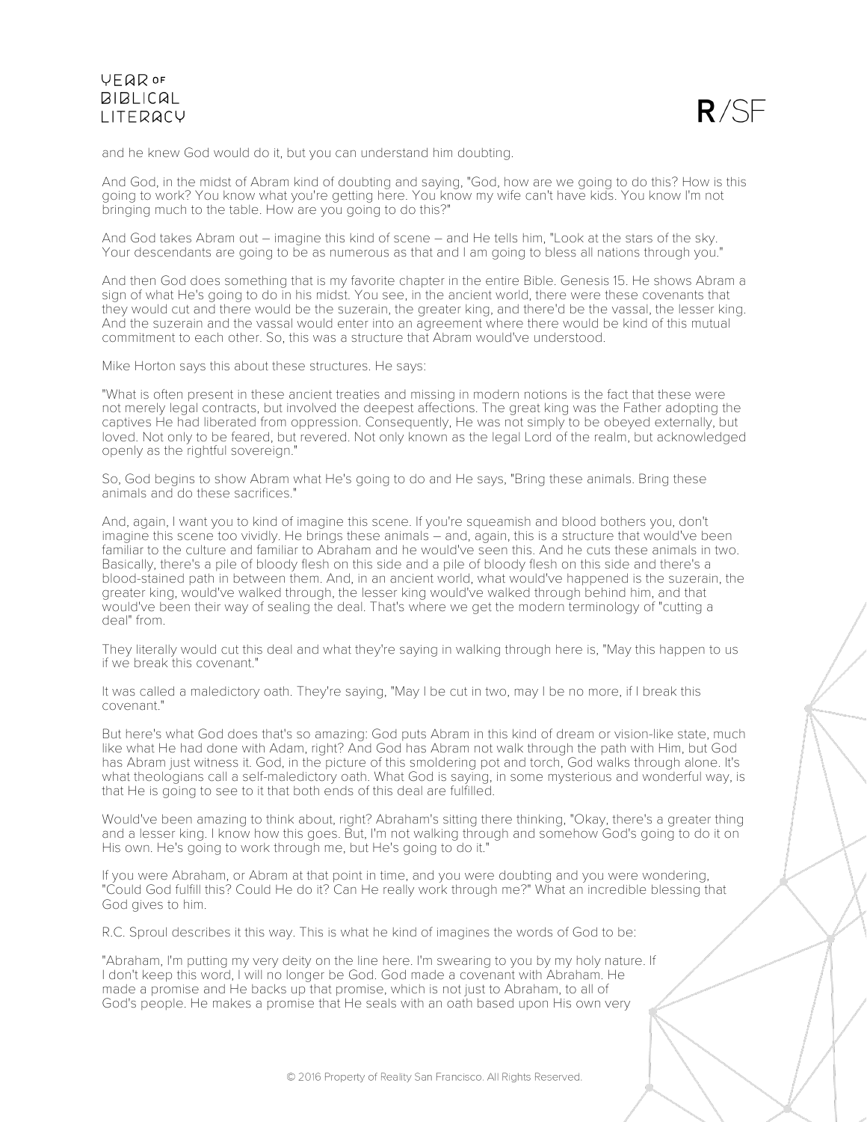

and he knew God would do it, but you can understand him doubting.

And God, in the midst of Abram kind of doubting and saying, "God, how are we going to do this? How is this going to work? You know what you're getting here. You know my wife can't have kids. You know I'm not bringing much to the table. How are you going to do this?"

And God takes Abram out – imagine this kind of scene – and He tells him, "Look at the stars of the sky. Your descendants are going to be as numerous as that and I am going to bless all nations through you."

And then God does something that is my favorite chapter in the entire Bible. Genesis 15. He shows Abram a sign of what He's going to do in his midst. You see, in the ancient world, there were these covenants that they would cut and there would be the suzerain, the greater king, and there'd be the vassal, the lesser king. And the suzerain and the vassal would enter into an agreement where there would be kind of this mutual commitment to each other. So, this was a structure that Abram would've understood.

Mike Horton says this about these structures. He says:

"What is often present in these ancient treaties and missing in modern notions is the fact that these were not merely legal contracts, but involved the deepest affections. The great king was the Father adopting the captives He had liberated from oppression. Consequently, He was not simply to be obeyed externally, but loved. Not only to be feared, but revered. Not only known as the legal Lord of the realm, but acknowledged openly as the rightful sovereign."

So, God begins to show Abram what He's going to do and He says, "Bring these animals. Bring these animals and do these sacrifices."

And, again, I want you to kind of imagine this scene. If you're squeamish and blood bothers you, don't imagine this scene too vividly. He brings these animals – and, again, this is a structure that would've been familiar to the culture and familiar to Abraham and he would've seen this. And he cuts these animals in two. Basically, there's a pile of bloody flesh on this side and a pile of bloody flesh on this side and there's a blood-stained path in between them. And, in an ancient world, what would've happened is the suzerain, the greater king, would've walked through, the lesser king would've walked through behind him, and that would've been their way of sealing the deal. That's where we get the modern terminology of "cutting a deal" from.

They literally would cut this deal and what they're saying in walking through here is, "May this happen to us if we break this covenant."

It was called a maledictory oath. They're saying, "May I be cut in two, may I be no more, if I break this covenant."

But here's what God does that's so amazing: God puts Abram in this kind of dream or vision-like state, much like what He had done with Adam, right? And God has Abram not walk through the path with Him, but God has Abram just witness it. God, in the picture of this smoldering pot and torch, God walks through alone. It's what theologians call a self-maledictory oath. What God is saying, in some mysterious and wonderful way, is that He is going to see to it that both ends of this deal are fulfilled.

Would've been amazing to think about, right? Abraham's sitting there thinking, "Okay, there's a greater thing and a lesser king. I know how this goes. But, I'm not walking through and somehow God's going to do it on His own. He's going to work through me, but He's going to do it."

If you were Abraham, or Abram at that point in time, and you were doubting and you were wondering, "Could God fulfill this? Could He do it? Can He really work through me?" What an incredible blessing that God gives to him.

R.C. Sproul describes it this way. This is what he kind of imagines the words of God to be:

"Abraham, I'm putting my very deity on the line here. I'm swearing to you by my holy nature. If I don't keep this word, I will no longer be God. God made a covenant with Abraham. He made a promise and He backs up that promise, which is not just to Abraham, to all of God's people. He makes a promise that He seals with an oath based upon His own very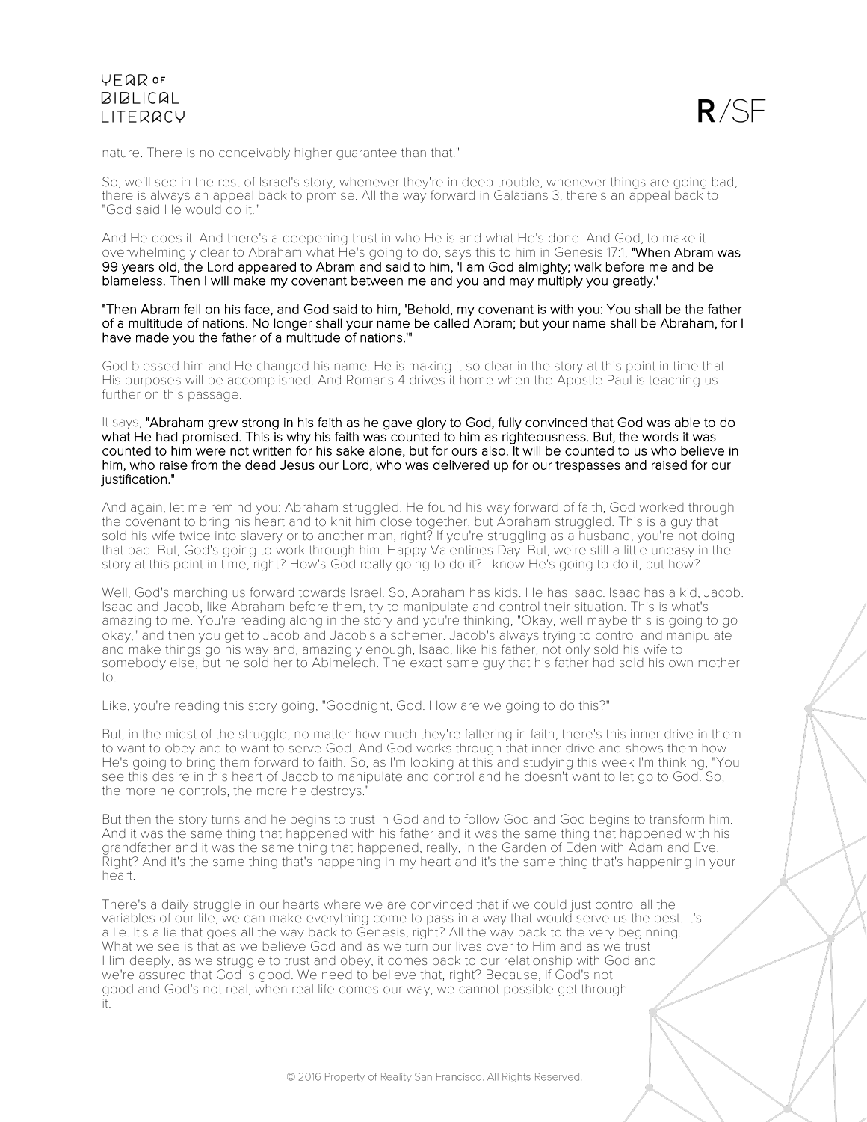

nature. There is no conceivably higher guarantee than that."

So, we'll see in the rest of Israel's story, whenever they're in deep trouble, whenever things are going bad, there is always an appeal back to promise. All the way forward in Galatians 3, there's an appeal back to "God said He would do it."

And He does it. And there's a deepening trust in who He is and what He's done. And God, to make it overwhelmingly clear to Abraham what He's going to do, says this to him in Genesis 17:1, "When Abram was 99 years old, the Lord appeared to Abram and said to him, 'I am God almighty; walk before me and be blameless. Then I will make my covenant between me and you and may multiply you greatly.'

"Then Abram fell on his face, and God said to him, 'Behold, my covenant is with you: You shall be the father of a multitude of nations. No longer shall your name be called Abram; but your name shall be Abraham, for I have made you the father of a multitude of nations.'"

God blessed him and He changed his name. He is making it so clear in the story at this point in time that His purposes will be accomplished. And Romans 4 drives it home when the Apostle Paul is teaching us further on this passage.

It says, "Abraham grew strong in his faith as he gave glory to God, fully convinced that God was able to do what He had promised. This is why his faith was counted to him as righteousness. But, the words it was counted to him were not written for his sake alone, but for ours also. It will be counted to us who believe in him, who raise from the dead Jesus our Lord, who was delivered up for our trespasses and raised for our justification."

And again, let me remind you: Abraham struggled. He found his way forward of faith, God worked through the covenant to bring his heart and to knit him close together, but Abraham struggled. This is a guy that sold his wife twice into slavery or to another man, right? If you're struggling as a husband, you're not doing that bad. But, God's going to work through him. Happy Valentines Day. But, we're still a little uneasy in the story at this point in time, right? How's God really going to do it? I know He's going to do it, but how?

Well, God's marching us forward towards Israel. So, Abraham has kids. He has Isaac. Isaac has a kid, Jacob. Isaac and Jacob, like Abraham before them, try to manipulate and control their situation. This is what's amazing to me. You're reading along in the story and you're thinking, "Okay, well maybe this is going to go okay," and then you get to Jacob and Jacob's a schemer. Jacob's always trying to control and manipulate and make things go his way and, amazingly enough, Isaac, like his father, not only sold his wife to somebody else, but he sold her to Abimelech. The exact same guy that his father had sold his own mother to.

Like, you're reading this story going, "Goodnight, God. How are we going to do this?"

But, in the midst of the struggle, no matter how much they're faltering in faith, there's this inner drive in them to want to obey and to want to serve God. And God works through that inner drive and shows them how He's going to bring them forward to faith. So, as I'm looking at this and studying this week I'm thinking, "You see this desire in this heart of Jacob to manipulate and control and he doesn't want to let go to God. So, the more he controls, the more he destroys."

But then the story turns and he begins to trust in God and to follow God and God begins to transform him. And it was the same thing that happened with his father and it was the same thing that happened with his grandfather and it was the same thing that happened, really, in the Garden of Eden with Adam and Eve. Right? And it's the same thing that's happening in my heart and it's the same thing that's happening in your heart.

There's a daily struggle in our hearts where we are convinced that if we could just control all the variables of our life, we can make everything come to pass in a way that would serve us the best. It's a lie. It's a lie that goes all the way back to Genesis, right? All the way back to the very beginning. What we see is that as we believe God and as we turn our lives over to Him and as we trust Him deeply, as we struggle to trust and obey, it comes back to our relationship with God and we're assured that God is good. We need to believe that, right? Because, if God's not good and God's not real, when real life comes our way, we cannot possible get through it.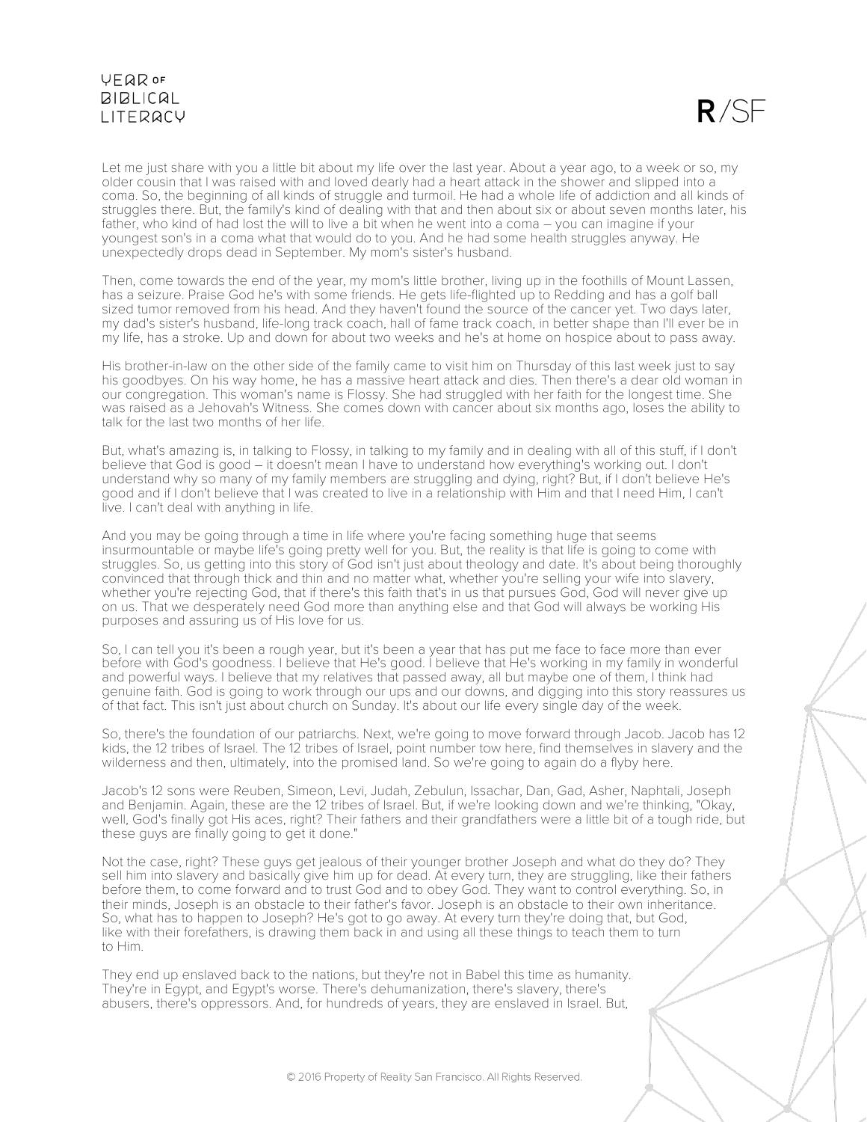$R/SF$ 

Let me just share with you a little bit about my life over the last year. About a year ago, to a week or so, my older cousin that I was raised with and loved dearly had a heart attack in the shower and slipped into a coma. So, the beginning of all kinds of struggle and turmoil. He had a whole life of addiction and all kinds of struggles there. But, the family's kind of dealing with that and then about six or about seven months later, his father, who kind of had lost the will to live a bit when he went into a coma – you can imagine if your youngest son's in a coma what that would do to you. And he had some health struggles anyway. He unexpectedly drops dead in September. My mom's sister's husband.

Then, come towards the end of the year, my mom's little brother, living up in the foothills of Mount Lassen, has a seizure. Praise God he's with some friends. He gets life-flighted up to Redding and has a golf ball sized tumor removed from his head. And they haven't found the source of the cancer yet. Two days later, my dad's sister's husband, life-long track coach, hall of fame track coach, in better shape than I'll ever be in my life, has a stroke. Up and down for about two weeks and he's at home on hospice about to pass away.

His brother-in-law on the other side of the family came to visit him on Thursday of this last week just to say his goodbyes. On his way home, he has a massive heart attack and dies. Then there's a dear old woman in our congregation. This woman's name is Flossy. She had struggled with her faith for the longest time. She was raised as a Jehovah's Witness. She comes down with cancer about six months ago, loses the ability to talk for the last two months of her life.

But, what's amazing is, in talking to Flossy, in talking to my family and in dealing with all of this stuff, if I don't believe that God is good – it doesn't mean I have to understand how everything's working out. I don't understand why so many of my family members are struggling and dying, right? But, if I don't believe He's good and if I don't believe that I was created to live in a relationship with Him and that I need Him, I can't live. I can't deal with anything in life.

And you may be going through a time in life where you're facing something huge that seems insurmountable or maybe life's going pretty well for you. But, the reality is that life is going to come with struggles. So, us getting into this story of God isn't just about theology and date. It's about being thoroughly convinced that through thick and thin and no matter what, whether you're selling your wife into slavery, whether you're rejecting God, that if there's this faith that's in us that pursues God, God will never give up on us. That we desperately need God more than anything else and that God will always be working His purposes and assuring us of His love for us.

So, I can tell you it's been a rough year, but it's been a year that has put me face to face more than ever before with God's goodness. I believe that He's good. I believe that He's working in my family in wonderful and powerful ways. I believe that my relatives that passed away, all but maybe one of them, I think had genuine faith. God is going to work through our ups and our downs, and digging into this story reassures us of that fact. This isn't just about church on Sunday. It's about our life every single day of the week.

So, there's the foundation of our patriarchs. Next, we're going to move forward through Jacob. Jacob has 12 kids, the 12 tribes of Israel. The 12 tribes of Israel, point number tow here, find themselves in slavery and the wilderness and then, ultimately, into the promised land. So we're going to again do a flyby here.

Jacob's 12 sons were Reuben, Simeon, Levi, Judah, Zebulun, Issachar, Dan, Gad, Asher, Naphtali, Joseph and Benjamin. Again, these are the 12 tribes of Israel. But, if we're looking down and we're thinking, "Okay, well, God's finally got His aces, right? Their fathers and their grandfathers were a little bit of a tough ride, but these guys are finally going to get it done."

Not the case, right? These guys get jealous of their younger brother Joseph and what do they do? They sell him into slavery and basically give him up for dead. At every turn, they are struggling, like their fathers before them, to come forward and to trust God and to obey God. They want to control everything. So, in their minds, Joseph is an obstacle to their father's favor. Joseph is an obstacle to their own inheritance. So, what has to happen to Joseph? He's got to go away. At every turn they're doing that, but God, like with their forefathers, is drawing them back in and using all these things to teach them to turn to Him.

They end up enslaved back to the nations, but they're not in Babel this time as humanity. They're in Egypt, and Egypt's worse. There's dehumanization, there's slavery, there's abusers, there's oppressors. And, for hundreds of years, they are enslaved in Israel. But,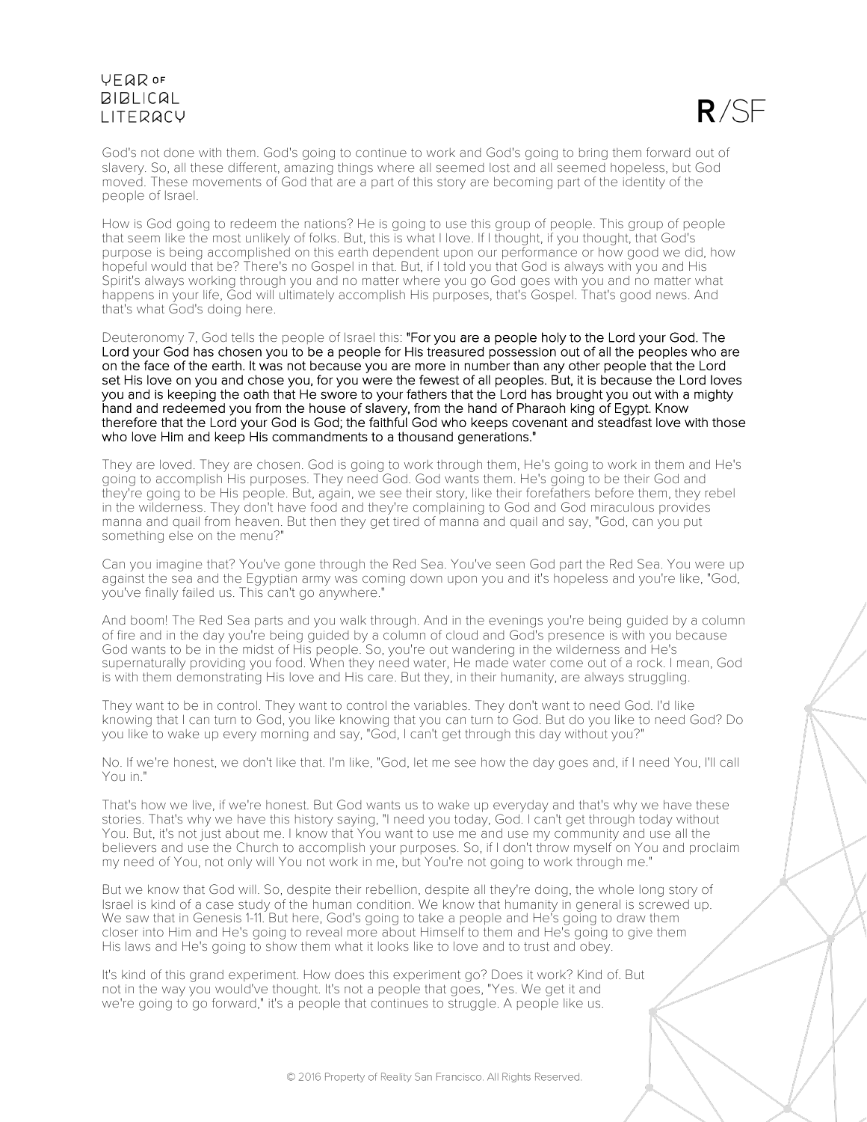

God's not done with them. God's going to continue to work and God's going to bring them forward out of slavery. So, all these different, amazing things where all seemed lost and all seemed hopeless, but God moved. These movements of God that are a part of this story are becoming part of the identity of the people of Israel.

How is God going to redeem the nations? He is going to use this group of people. This group of people that seem like the most unlikely of folks. But, this is what I love. If I thought, if you thought, that God's purpose is being accomplished on this earth dependent upon our performance or how good we did, how hopeful would that be? There's no Gospel in that. But, if I told you that God is always with you and His Spirit's always working through you and no matter where you go God goes with you and no matter what happens in your life, God will ultimately accomplish His purposes, that's Gospel. That's good news. And that's what God's doing here.

Deuteronomy 7, God tells the people of Israel this: "For you are a people holy to the Lord your God. The Lord your God has chosen you to be a people for His treasured possession out of all the peoples who are on the face of the earth. It was not because you are more in number than any other people that the Lord set His love on you and chose you, for you were the fewest of all peoples. But, it is because the Lord loves you and is keeping the oath that He swore to your fathers that the Lord has brought you out with a mighty hand and redeemed you from the house of slavery, from the hand of Pharaoh king of Egypt. Know therefore that the Lord your God is God; the faithful God who keeps covenant and steadfast love with those who love Him and keep His commandments to a thousand generations."

They are loved. They are chosen. God is going to work through them, He's going to work in them and He's going to accomplish His purposes. They need God. God wants them. He's going to be their God and they're going to be His people. But, again, we see their story, like their forefathers before them, they rebel in the wilderness. They don't have food and they're complaining to God and God miraculous provides manna and quail from heaven. But then they get tired of manna and quail and say, "God, can you put something else on the menu?"

Can you imagine that? You've gone through the Red Sea. You've seen God part the Red Sea. You were up against the sea and the Egyptian army was coming down upon you and it's hopeless and you're like, "God, you've finally failed us. This can't go anywhere."

And boom! The Red Sea parts and you walk through. And in the evenings you're being guided by a column of fire and in the day you're being guided by a column of cloud and God's presence is with you because God wants to be in the midst of His people. So, you're out wandering in the wilderness and He's supernaturally providing you food. When they need water, He made water come out of a rock. I mean, God is with them demonstrating His love and His care. But they, in their humanity, are always struggling.

They want to be in control. They want to control the variables. They don't want to need God. I'd like knowing that I can turn to God, you like knowing that you can turn to God. But do you like to need God? Do you like to wake up every morning and say, "God, I can't get through this day without you?"

No. If we're honest, we don't like that. I'm like, "God, let me see how the day goes and, if I need You, I'll call You in."

That's how we live, if we're honest. But God wants us to wake up everyday and that's why we have these stories. That's why we have this history saying, "I need you today, God. I can't get through today without You. But, it's not just about me. I know that You want to use me and use my community and use all the believers and use the Church to accomplish your purposes. So, if I don't throw myself on You and proclaim my need of You, not only will You not work in me, but You're not going to work through me."

But we know that God will. So, despite their rebellion, despite all they're doing, the whole long story of Israel is kind of a case study of the human condition. We know that humanity in general is screwed up. We saw that in Genesis 1-11. But here, God's going to take a people and He's going to draw them closer into Him and He's going to reveal more about Himself to them and He's going to give them His laws and He's going to show them what it looks like to love and to trust and obey.

It's kind of this grand experiment. How does this experiment go? Does it work? Kind of. But not in the way you would've thought. It's not a people that goes, "Yes. We get it and we're going to go forward," it's a people that continues to struggle. A people like us.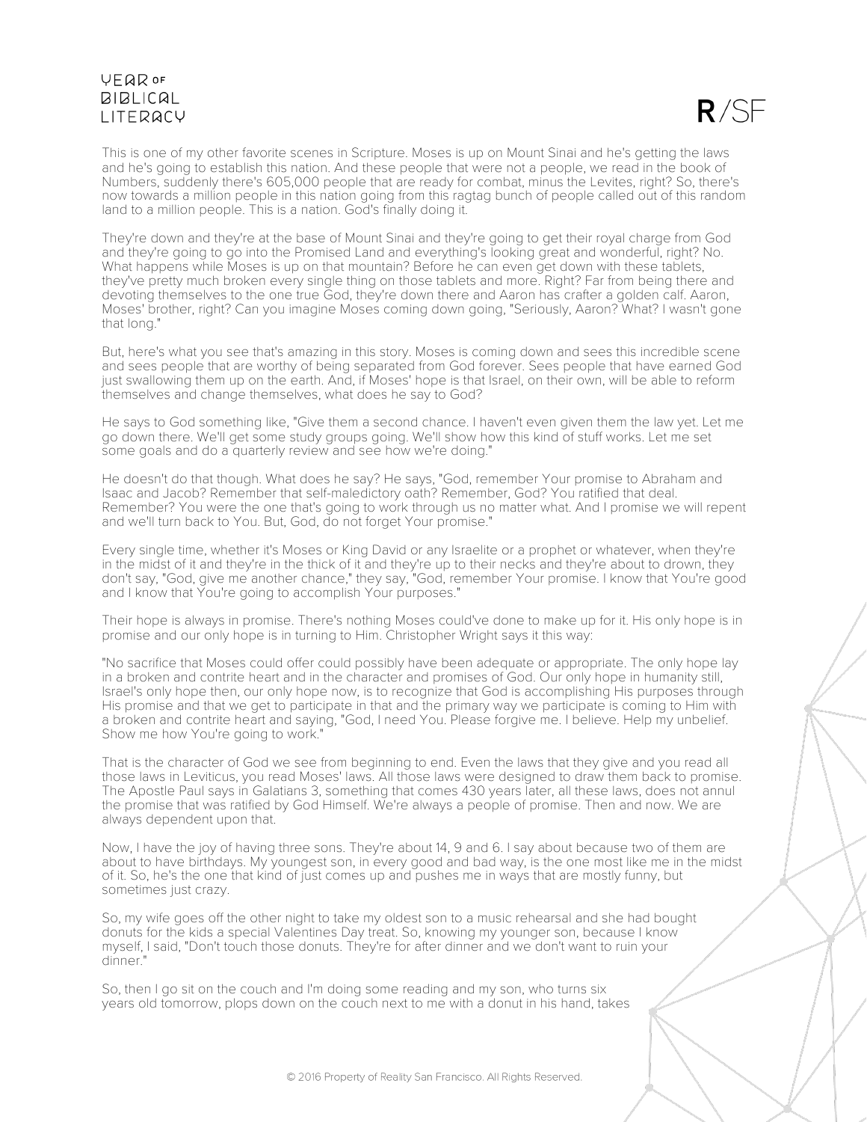$R/SF$ 

This is one of my other favorite scenes in Scripture. Moses is up on Mount Sinai and he's getting the laws and he's going to establish this nation. And these people that were not a people, we read in the book of Numbers, suddenly there's 605,000 people that are ready for combat, minus the Levites, right? So, there's now towards a million people in this nation going from this ragtag bunch of people called out of this random land to a million people. This is a nation. God's finally doing it.

They're down and they're at the base of Mount Sinai and they're going to get their royal charge from God and they're going to go into the Promised Land and everything's looking great and wonderful, right? No. What happens while Moses is up on that mountain? Before he can even get down with these tablets, they've pretty much broken every single thing on those tablets and more. Right? Far from being there and devoting themselves to the one true God, they're down there and Aaron has crafter a golden calf. Aaron, Moses' brother, right? Can you imagine Moses coming down going, "Seriously, Aaron? What? I wasn't gone that long."

But, here's what you see that's amazing in this story. Moses is coming down and sees this incredible scene and sees people that are worthy of being separated from God forever. Sees people that have earned God just swallowing them up on the earth. And, if Moses' hope is that Israel, on their own, will be able to reform themselves and change themselves, what does he say to God?

He says to God something like, "Give them a second chance. I haven't even given them the law yet. Let me go down there. We'll get some study groups going. We'll show how this kind of stuff works. Let me set some goals and do a quarterly review and see how we're doing."

He doesn't do that though. What does he say? He says, "God, remember Your promise to Abraham and Isaac and Jacob? Remember that self-maledictory oath? Remember, God? You ratified that deal. Remember? You were the one that's going to work through us no matter what. And I promise we will repent and we'll turn back to You. But, God, do not forget Your promise."

Every single time, whether it's Moses or King David or any Israelite or a prophet or whatever, when they're in the midst of it and they're in the thick of it and they're up to their necks and they're about to drown, they don't say, "God, give me another chance," they say, "God, remember Your promise. I know that You're good and I know that You're going to accomplish Your purposes."

Their hope is always in promise. There's nothing Moses could've done to make up for it. His only hope is in promise and our only hope is in turning to Him. Christopher Wright says it this way:

"No sacrifice that Moses could offer could possibly have been adequate or appropriate. The only hope lay in a broken and contrite heart and in the character and promises of God. Our only hope in humanity still, Israel's only hope then, our only hope now, is to recognize that God is accomplishing His purposes through His promise and that we get to participate in that and the primary way we participate is coming to Him with a broken and contrite heart and saying, "God, I need You. Please forgive me. I believe. Help my unbelief. Show me how You're going to work."

That is the character of God we see from beginning to end. Even the laws that they give and you read all those laws in Leviticus, you read Moses' laws. All those laws were designed to draw them back to promise. The Apostle Paul says in Galatians 3, something that comes 430 years later, all these laws, does not annul the promise that was ratified by God Himself. We're always a people of promise. Then and now. We are always dependent upon that.

Now, I have the joy of having three sons. They're about 14, 9 and 6. I say about because two of them are about to have birthdays. My youngest son, in every good and bad way, is the one most like me in the midst of it. So, he's the one that kind of just comes up and pushes me in ways that are mostly funny, but sometimes just crazy.

So, my wife goes off the other night to take my oldest son to a music rehearsal and she had bought donuts for the kids a special Valentines Day treat. So, knowing my younger son, because I know myself, I said, "Don't touch those donuts. They're for after dinner and we don't want to ruin your dinner."

So, then I go sit on the couch and I'm doing some reading and my son, who turns six years old tomorrow, plops down on the couch next to me with a donut in his hand, takes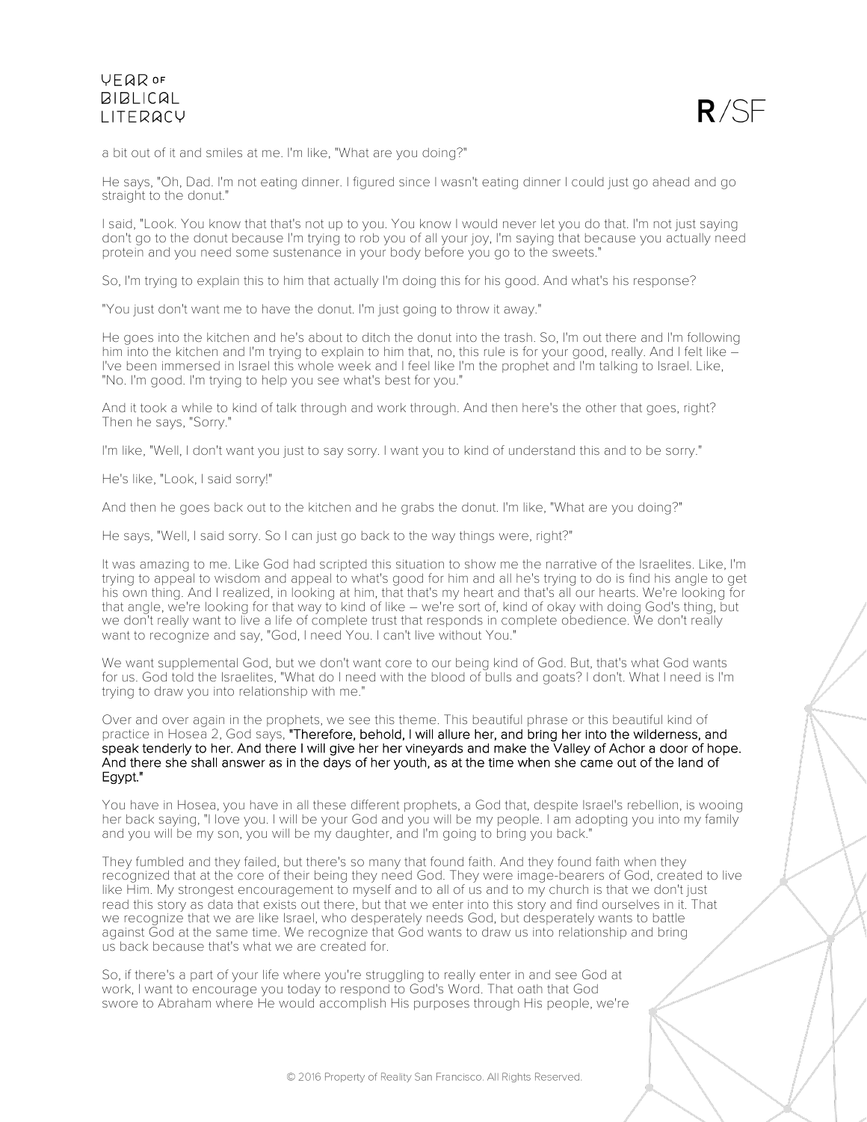

a bit out of it and smiles at me. I'm like, "What are you doing?"

He says, "Oh, Dad. I'm not eating dinner. I figured since I wasn't eating dinner I could just go ahead and go straight to the donut."

I said, "Look. You know that that's not up to you. You know I would never let you do that. I'm not just saying don't go to the donut because I'm trying to rob you of all your joy, I'm saying that because you actually need protein and you need some sustenance in your body before you go to the sweets."

So, I'm trying to explain this to him that actually I'm doing this for his good. And what's his response?

"You just don't want me to have the donut. I'm just going to throw it away."

He goes into the kitchen and he's about to ditch the donut into the trash. So, I'm out there and I'm following him into the kitchen and I'm trying to explain to him that, no, this rule is for your good, really. And I felt like  $-$ I've been immersed in Israel this whole week and I feel like I'm the prophet and I'm talking to Israel. Like, "No. I'm good. I'm trying to help you see what's best for you."

And it took a while to kind of talk through and work through. And then here's the other that goes, right? Then he says, "Sorry."

I'm like, "Well, I don't want you just to say sorry. I want you to kind of understand this and to be sorry."

He's like, "Look, I said sorry!"

And then he goes back out to the kitchen and he grabs the donut. I'm like, "What are you doing?"

He says, "Well, I said sorry. So I can just go back to the way things were, right?"

It was amazing to me. Like God had scripted this situation to show me the narrative of the Israelites. Like, I'm trying to appeal to wisdom and appeal to what's good for him and all he's trying to do is find his angle to get his own thing. And I realized, in looking at him, that that's my heart and that's all our hearts. We're looking for that angle, we're looking for that way to kind of like – we're sort of, kind of okay with doing God's thing, but we don't really want to live a life of complete trust that responds in complete obedience. We don't really want to recognize and say, "God, I need You. I can't live without You."

We want supplemental God, but we don't want core to our being kind of God. But, that's what God wants for us. God told the Israelites, "What do I need with the blood of bulls and goats? I don't. What I need is I'm trying to draw you into relationship with me."

Over and over again in the prophets, we see this theme. This beautiful phrase or this beautiful kind of practice in Hosea 2, God says, "Therefore, behold, I will allure her, and bring her into the wilderness, and speak tenderly to her. And there I will give her her vineyards and make the Valley of Achor a door of hope. And there she shall answer as in the days of her youth, as at the time when she came out of the land of Egypt."

You have in Hosea, you have in all these different prophets, a God that, despite Israel's rebellion, is wooing her back saying, "I love you. I will be your God and you will be my people. I am adopting you into my family and you will be my son, you will be my daughter, and I'm going to bring you back."

They fumbled and they failed, but there's so many that found faith. And they found faith when they recognized that at the core of their being they need God. They were image-bearers of God, created to live like Him. My strongest encouragement to myself and to all of us and to my church is that we don't just read this story as data that exists out there, but that we enter into this story and find ourselves in it. That we recognize that we are like Israel, who desperately needs God, but desperately wants to battle against God at the same time. We recognize that God wants to draw us into relationship and bring us back because that's what we are created for.

So, if there's a part of your life where you're struggling to really enter in and see God at work, I want to encourage you today to respond to God's Word. That oath that God swore to Abraham where He would accomplish His purposes through His people, we're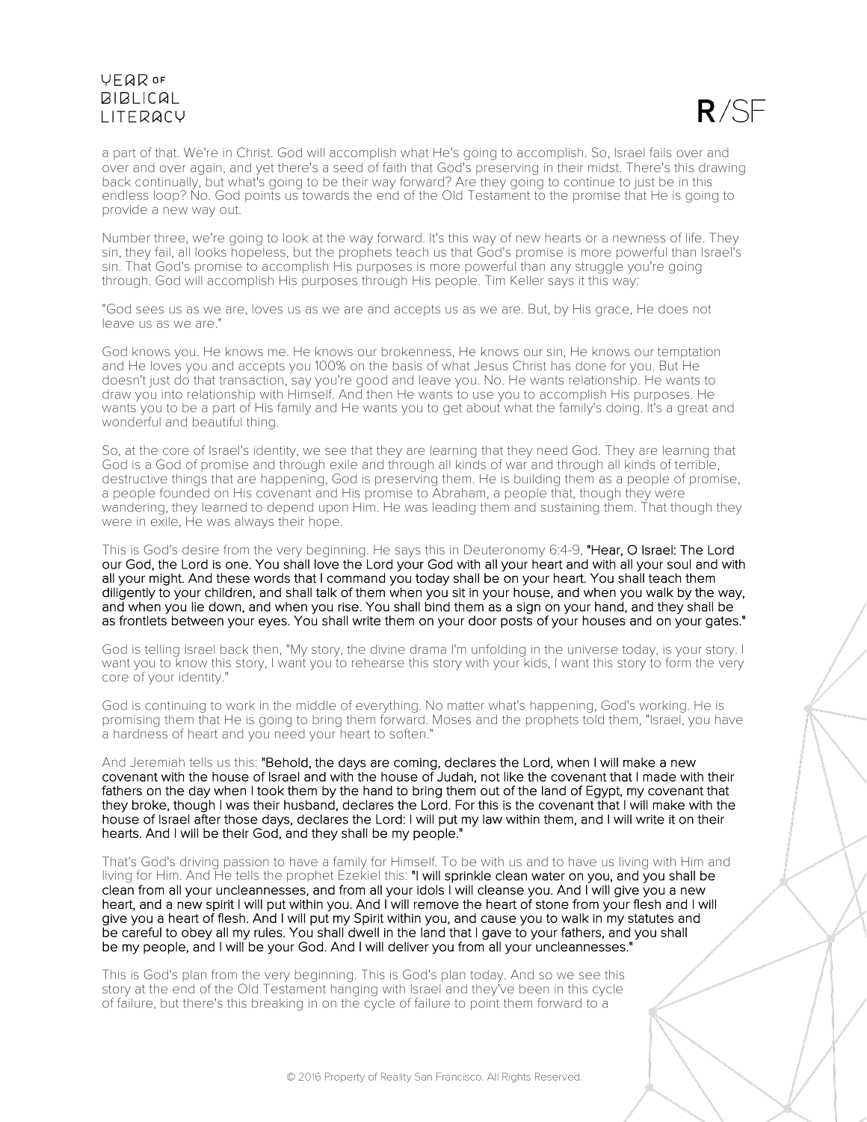$R/SF$ 

a part of that. We're in Christ. God will accomplish what He's going to accomplish. So, Israel fails over and over and over again, and yet there's a seed of faith that God's preserving in their midst. There's this drawing back continually, but what's going to be their way forward? Are they going to continue to just be in this endless loop? No. God points us towards the end of the Old Testament to the promise that He is going to provide a new way out.

Number three, we're going to look at the way forward. It's this way of new hearts or a newness of life. They sin, they fail, all looks hopeless, but the prophets teach us that God's promise is more powerful than Israel's sin. That God's promise to accomplish His purposes is more powerful than any struggle you're going through. God will accomplish His purposes through His people. Tim Keller says it this way:

"God sees us as we are, loves us as we are and accepts us as we are. But, by His grace, He does not leave us as we are."

God knows you. He knows me. He knows our brokenness, He knows our sin, He knows our temptation and He loves you and accepts you 100% on the basis of what Jesus Christ has done for you. But He doesn't just do that transaction, say you're good and leave you. No. He wants relationship. He wants to draw you into relationship with Himself. And then He wants to use you to accomplish His purposes. He wants you to be a part of His family and He wants you to get about what the family's doing. It's a great and wonderful and beautiful thing.

So, at the core of Israel's identity, we see that they are learning that they need God. They are learning that God is a God of promise and through exile and through all kinds of war and through all kinds of terrible, destructive things that are happening, God is preserving them. He is building them as a people of promise, a people founded on His covenant and His promise to Abraham, a people that, though they were wandering, they learned to depend upon Him. He was leading them and sustaining them. That though they were in exile, He was always their hope.

This is God's desire from the very beginning. He says this in Deuteronomy 6:4-9, "Hear, O Israel: The Lord our God, the Lord is one. You shall love the Lord your God with all your heart and with all your soul and with all your might. And these words that I command you today shall be on your heart. You shall teach them diligently to your children, and shall talk of them when you sit in your house, and when you walk by the way, and when you lie down, and when you rise. You shall bind them as a sign on your hand, and they shall be as frontlets between your eyes. You shall write them on your door posts of your houses and on your gates."

God is telling Israel back then, "My story, the divine drama I'm unfolding in the universe today, is your story. I want you to know this story, I want you to rehearse this story with your kids, I want this story to form the very core of your identity."

God is continuing to work in the middle of everything. No matter what's happening, God's working. He is promising them that He is going to bring them forward. Moses and the prophets told them, "Israel, you have a hardness of heart and you need your heart to soften."

And Jeremiah tells us this: "Behold, the days are coming, declares the Lord, when I will make a new covenant with the house of Israel and with the house of Judah, not like the covenant that I made with their fathers on the day when I took them by the hand to bring them out of the land of Egypt, my covenant that they broke, though I was their husband, declares the Lord. For this is the covenant that I will make with the house of Israel after those days, declares the Lord: I will put my law within them, and I will write it on their hearts. And I will be their God, and they shall be my people."

That's God's driving passion to have a family for Himself. To be with us and to have us living with Him and living for Him. And He tells the prophet Ezekiel this: "I will sprinkle clean water on you, and you shall be clean from all your uncleannesses, and from all your idols I will cleanse you. And I will give you a new heart, and a new spirit I will put within you. And I will remove the heart of stone from your flesh and I will give you a heart of flesh. And I will put my Spirit within you, and cause you to walk in my statutes and be careful to obey all my rules. You shall dwell in the land that I gave to your fathers, and you shall be my people, and I will be your God. And I will deliver you from all your uncleannesses."

This is God's plan from the very beginning. This is God's plan today. And so we see this story at the end of the Old Testament hanging with Israel and they've been in this cycle of failure, but there's this breaking in on the cycle of failure to point them forward to a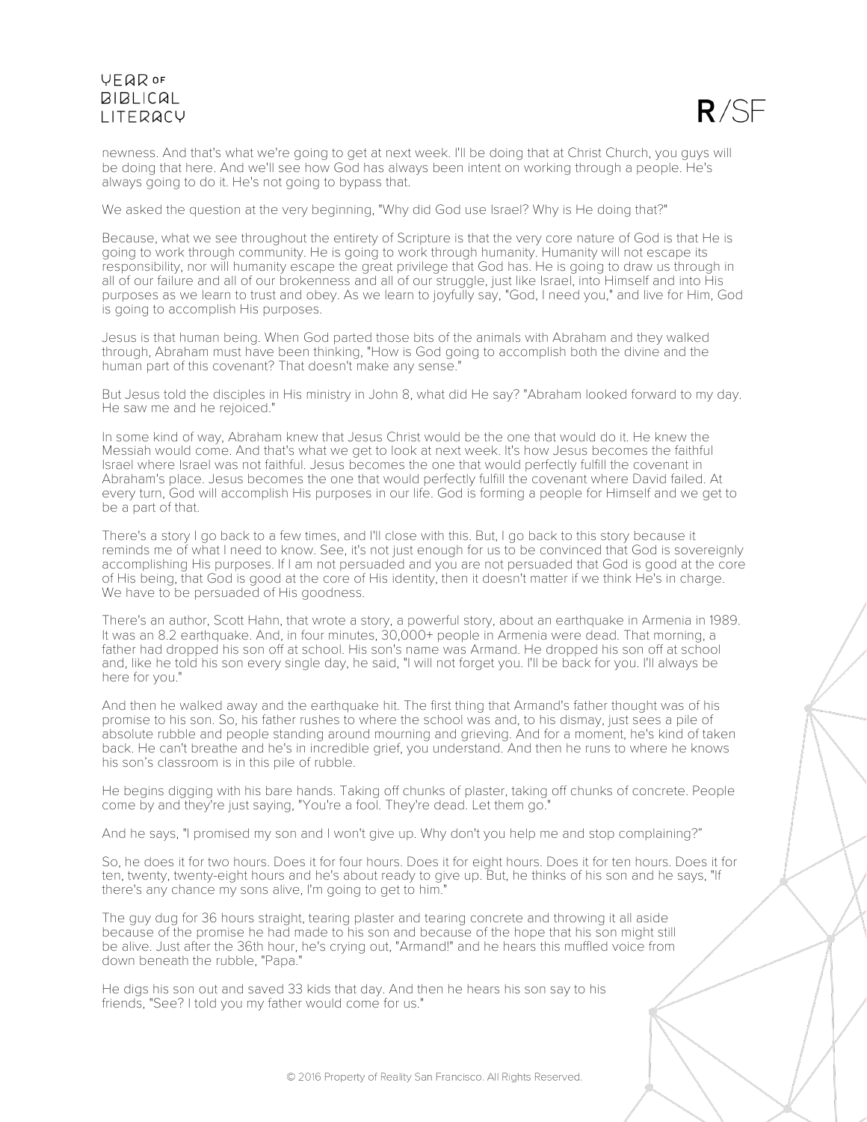

newness. And that's what we're going to get at next week. I'll be doing that at Christ Church, you guys will be doing that here. And we'll see how God has always been intent on working through a people. He's always going to do it. He's not going to bypass that.

We asked the question at the very beginning, "Why did God use Israel? Why is He doing that?"

Because, what we see throughout the entirety of Scripture is that the very core nature of God is that He is going to work through community. He is going to work through humanity. Humanity will not escape its responsibility, nor will humanity escape the great privilege that God has. He is going to draw us through in all of our failure and all of our brokenness and all of our struggle, just like Israel, into Himself and into His purposes as we learn to trust and obey. As we learn to joyfully say, "God, I need you," and live for Him, God is going to accomplish His purposes.

Jesus is that human being. When God parted those bits of the animals with Abraham and they walked through, Abraham must have been thinking, "How is God going to accomplish both the divine and the human part of this covenant? That doesn't make any sense."

But Jesus told the disciples in His ministry in John 8, what did He say? "Abraham looked forward to my day. He saw me and he rejoiced."

In some kind of way, Abraham knew that Jesus Christ would be the one that would do it. He knew the Messiah would come. And that's what we get to look at next week. It's how Jesus becomes the faithful Israel where Israel was not faithful. Jesus becomes the one that would perfectly fulfill the covenant in Abraham's place. Jesus becomes the one that would perfectly fulfill the covenant where David failed. At every turn, God will accomplish His purposes in our life. God is forming a people for Himself and we get to be a part of that.

There's a story I go back to a few times, and I'll close with this. But, I go back to this story because it reminds me of what I need to know. See, it's not just enough for us to be convinced that God is sovereignly accomplishing His purposes. If I am not persuaded and you are not persuaded that God is good at the core of His being, that God is good at the core of His identity, then it doesn't matter if we think He's in charge. We have to be persuaded of His goodness.

There's an author, Scott Hahn, that wrote a story, a powerful story, about an earthquake in Armenia in 1989. It was an 8.2 earthquake. And, in four minutes, 30,000+ people in Armenia were dead. That morning, a father had dropped his son off at school. His son's name was Armand. He dropped his son off at school and, like he told his son every single day, he said, "I will not forget you. I'll be back for you. I'll always be here for you."

And then he walked away and the earthquake hit. The first thing that Armand's father thought was of his promise to his son. So, his father rushes to where the school was and, to his dismay, just sees a pile of absolute rubble and people standing around mourning and grieving. And for a moment, he's kind of taken back. He can't breathe and he's in incredible grief, you understand. And then he runs to where he knows his son's classroom is in this pile of rubble.

He begins digging with his bare hands. Taking off chunks of plaster, taking off chunks of concrete. People come by and they're just saying, "You're a fool. They're dead. Let them go."

And he says, "I promised my son and I won't give up. Why don't you help me and stop complaining?"

So, he does it for two hours. Does it for four hours. Does it for eight hours. Does it for ten hours. Does it for ten, twenty, twenty-eight hours and he's about ready to give up. But, he thinks of his son and he says, "If there's any chance my sons alive, I'm going to get to him."

The guy dug for 36 hours straight, tearing plaster and tearing concrete and throwing it all aside because of the promise he had made to his son and because of the hope that his son might still be alive. Just after the 36th hour, he's crying out, "Armand!" and he hears this muffled voice from down beneath the rubble, "Papa."

He digs his son out and saved 33 kids that day. And then he hears his son say to his friends, "See? I told you my father would come for us."